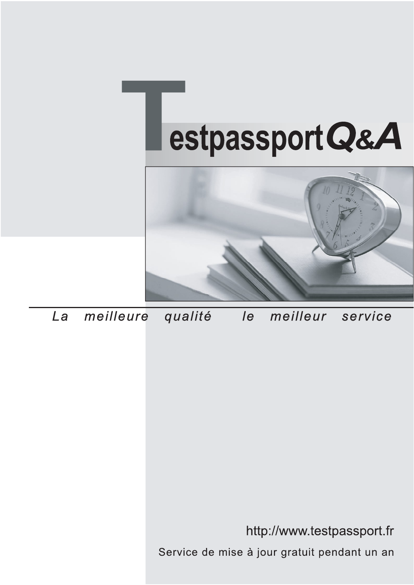



meilleure La qualité  $\overline{e}$ meilleur service

http://www.testpassport.fr

Service de mise à jour gratuit pendant un an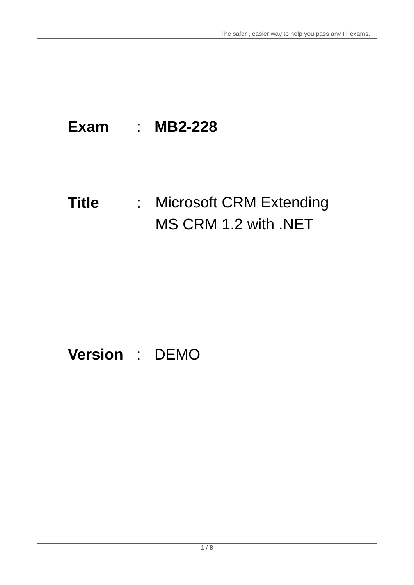## **Exam** : **MB2-228**

# **Title** : Microsoft CRM Extending MS CRM 1.2 with .NET

## **Version** : DEMO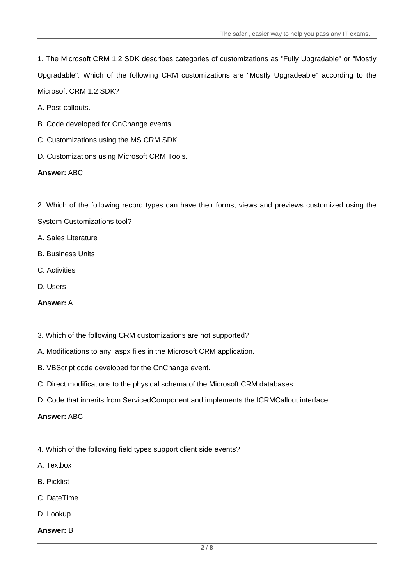1. The Microsoft CRM 1.2 SDK describes categories of customizations as "Fully Upgradable" or "Mostly Upgradable". Which of the following CRM customizations are "Mostly Upgradeable" according to the Microsoft CRM 1.2 SDK?

A. Post-callouts.

- B. Code developed for OnChange events.
- C. Customizations using the MS CRM SDK.
- D. Customizations using Microsoft CRM Tools.

**Answer:** ABC

2. Which of the following record types can have their forms, views and previews customized using the

- System Customizations tool?
- A. Sales Literature
- B. Business Units
- C. Activities
- D. Users

## **Answer:** A

- 3. Which of the following CRM customizations are not supported?
- A. Modifications to any .aspx files in the Microsoft CRM application.
- B. VBScript code developed for the OnChange event.
- C. Direct modifications to the physical schema of the Microsoft CRM databases.
- D. Code that inherits from ServicedComponent and implements the ICRMCallout interface.

## **Answer:** ABC

- 4. Which of the following field types support client side events?
- A. Textbox
- B. Picklist
- C. DateTime
- D. Lookup
- **Answer:** B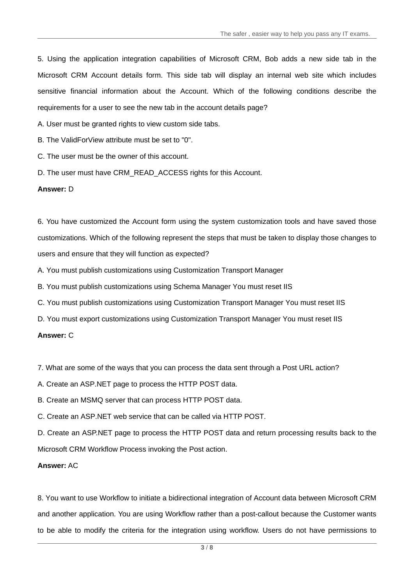5. Using the application integration capabilities of Microsoft CRM, Bob adds a new side tab in the Microsoft CRM Account details form. This side tab will display an internal web site which includes sensitive financial information about the Account. Which of the following conditions describe the requirements for a user to see the new tab in the account details page?

A. User must be granted rights to view custom side tabs.

B. The ValidForView attribute must be set to "0".

C. The user must be the owner of this account.

D. The user must have CRM\_READ\_ACCESS rights for this Account.

## **Answer:** D

6. You have customized the Account form using the system customization tools and have saved those customizations. Which of the following represent the steps that must be taken to display those changes to users and ensure that they will function as expected?

A. You must publish customizations using Customization Transport Manager

B. You must publish customizations using Schema Manager You must reset IIS

C. You must publish customizations using Customization Transport Manager You must reset IIS

D. You must export customizations using Customization Transport Manager You must reset IIS

## **Answer:** C

7. What are some of the ways that you can process the data sent through a Post URL action?

A. Create an ASP.NET page to process the HTTP POST data.

B. Create an MSMQ server that can process HTTP POST data.

C. Create an ASP.NET web service that can be called via HTTP POST.

D. Create an ASP.NET page to process the HTTP POST data and return processing results back to the Microsoft CRM Workflow Process invoking the Post action.

## **Answer:** AC

8. You want to use Workflow to initiate a bidirectional integration of Account data between Microsoft CRM and another application. You are using Workflow rather than a post-callout because the Customer wants to be able to modify the criteria for the integration using workflow. Users do not have permissions to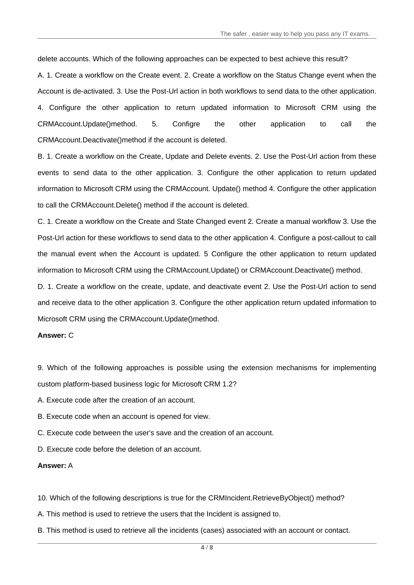delete accounts. Which of the following approaches can be expected to best achieve this result?

A. 1. Create a workflow on the Create event. 2. Create a workflow on the Status Change event when the Account is de-activated. 3. Use the Post-Url action in both workflows to send data to the other application. 4. Configure the other application to return updated information to Microsoft CRM using the CRMAccount.Update()method. 5. Configre the other application to call the CRMAccount.Deactivate()method if the account is deleted.

B. 1. Create a workflow on the Create, Update and Delete events. 2. Use the Post-Url action from these events to send data to the other application. 3. Configure the other application to return updated information to Microsoft CRM using the CRMAccount. Update() method 4. Configure the other application to call the CRMAccount.Delete() method if the account is deleted.

C. 1. Create a workflow on the Create and State Changed event 2. Create a manual workflow 3. Use the Post-Url action for these workflows to send data to the other application 4. Configure a post-callout to call the manual event when the Account is updated. 5 Configure the other application to return updated information to Microsoft CRM using the CRMAccount.Update() or CRMAccount.Deactivate() method.

D. 1. Create a workflow on the create, update, and deactivate event 2. Use the Post-Url action to send and receive data to the other application 3. Configure the other application return updated information to Microsoft CRM using the CRMAccount.Update()method.

#### **Answer:** C

9. Which of the following approaches is possible using the extension mechanisms for implementing custom platform-based business logic for Microsoft CRM 1.2?

A. Execute code after the creation of an account.

- B. Execute code when an account is opened for view.
- C. Execute code between the user's save and the creation of an account.

D. Execute code before the deletion of an account.

#### **Answer:** A

10. Which of the following descriptions is true for the CRMIncident.RetrieveByObject() method?

A. This method is used to retrieve the users that the Incident is assigned to.

B. This method is used to retrieve all the incidents (cases) associated with an account or contact.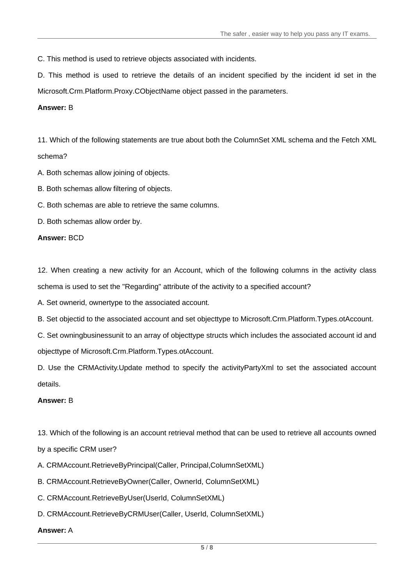C. This method is used to retrieve objects associated with incidents.

D. This method is used to retrieve the details of an incident specified by the incident id set in the Microsoft.Crm.Platform.Proxy.CObjectName object passed in the parameters.

## **Answer:** B

11. Which of the following statements are true about both the ColumnSet XML schema and the Fetch XML schema? All the control of the control of the control of the control of the control of the control of the control of the control of the control of the control of the control of the control of the control of the control of

A. Both schemas allow joining of objects.

B. Both schemas allow filtering of objects.

C. Both schemas are able to retrieve the same columns.

D. Both schemas allow order by.

**Answer:** BCD

12. When creating a new activity for an Account, which of the following columns in the activity class schema is used to set the "Regarding" attribute of the activity to a specified account?

A. Set ownerid, ownertype to the associated account.

B. Set objectid to the associated account and set objecttype to Microsoft.Crm.Platform.Types.otAccount.

C. Set owningbusinessunit to an array of objecttype structs which includes the associated account id and objecttype of Microsoft.Crm.Platform.Types.otAccount.

D. Use the CRMActivity.Update method to specify the activityPartyXml to set the associated account details. The contract of the contract of the contract of the contract of the contract of the contract of the contract of the contract of the contract of the contract of the contract of the contract of the contract of the c

## **Answer:** B

13. Which of the following is an account retrieval method that can be used to retrieve all accounts owned

by a specific CRM user?

A. CRMAccount.RetrieveByPrincipal(Caller, Principal,ColumnSetXML)

B. CRMAccount.RetrieveByOwner(Caller, OwnerId, ColumnSetXML)

C. CRMAccount.RetrieveByUser(UserId, ColumnSetXML)

D. CRMAccount.RetrieveByCRMUser(Caller, UserId, ColumnSetXML)

## **Answer:** A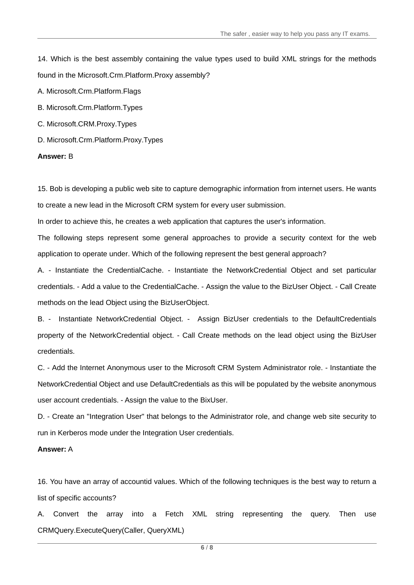14. Which is the best assembly containing the value types used to build XML strings for the methods found in the Microsoft.Crm.Platform.Proxy assembly?

A. Microsoft.Crm.Platform.Flags

B. Microsoft.Crm.Platform.Types

- C. Microsoft.CRM.Proxy.Types
- D. Microsoft.Crm.Platform.Proxy.Types

## **Answer:** B

15. Bob is developing a public web site to capture demographic information from internet users. He wants to create a new lead in the Microsoft CRM system for every user submission.

In order to achieve this, he creates a web application that captures the user's information.

The following steps represent some general approaches to provide a security context for the web application to operate under. Which of the following represent the best general approach?

A. - Instantiate the CredentialCache. - Instantiate the NetworkCredential Object and set particular credentials. - Add a value to the CredentialCache. - Assign the value to the BizUser Object. - Call Create methods on the lead Object using the BizUserObject.

B. - Instantiate NetworkCredential Object. - Assign BizUser credentials to the DefaultCredentials property of the NetworkCredential object. - Call Create methods on the lead object using the BizUser credentials.

C. - Add the Internet Anonymous user to the Microsoft CRM System Administrator role. - Instantiate the NetworkCredential Object and use DefaultCredentials as this will be populated by the website anonymous user account credentials. - Assign the value to the BixUser.

D. - Create an "Integration User" that belongs to the Administrator role, and change web site security to run in Kerberos mode under the Integration User credentials.

## **Answer:** A

16. You have an array of accountid values. Which of the following techniques is the best way to return a list of specific accounts?

A. Convert the array into a Fetch XML string representing the query. Then use CRMQuery.ExecuteQuery(Caller, QueryXML)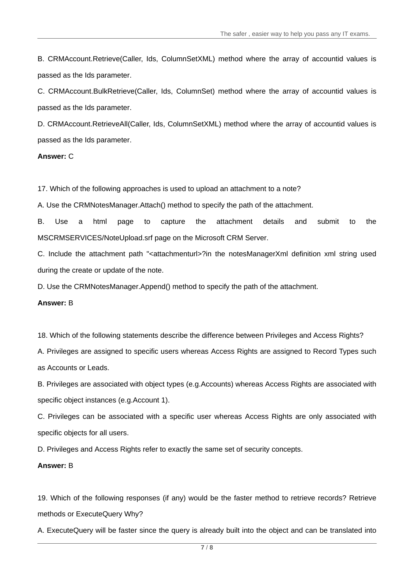B. CRMAccount.Retrieve(Caller, Ids, ColumnSetXML) method where the array of accountid values is passed as the Ids parameter.

C. CRMAccount.BulkRetrieve(Caller, Ids, ColumnSet) method where the array of accountid values is passed as the Ids parameter.

D. CRMAccount.RetrieveAll(Caller, Ids, ColumnSetXML) method where the array of accountid values is passed as the Ids parameter.

#### **Answer:** C

17. Which of the following approaches is used to upload an attachment to a note?

A. Use the CRMNotesManager.Attach() method to specify the path of the attachment.

B. Use a html page to capture the attachment details and submit to the MSCRMSERVICES/NoteUpload.srf page on the Microsoft CRM Server.

C. Include the attachment path "<attachmenturl>?in the notesManagerXml definition xml string used during the create or update of the note.

D. Use the CRMNotesManager.Append() method to specify the path of the attachment.

#### **Answer:** B

18. Which of the following statements describe the difference between Privileges and Access Rights?

A. Privileges are assigned to specific users whereas Access Rights are assigned to Record Types such as Accounts or Leads.

B. Privileges are associated with object types (e.g.Accounts) whereas Access Rights are associated with specific object instances (e.g.Account 1).

C. Privileges can be associated with a specific user whereas Access Rights are only associated with specific objects for all users.

D. Privileges and Access Rights refer to exactly the same set of security concepts.

#### **Answer:** B

19. Which of the following responses (if any) would be the faster method to retrieve records? Retrieve methods or ExecuteQuery Why?

A. ExecuteQuery will be faster since the query is already built into the object and can be translated into